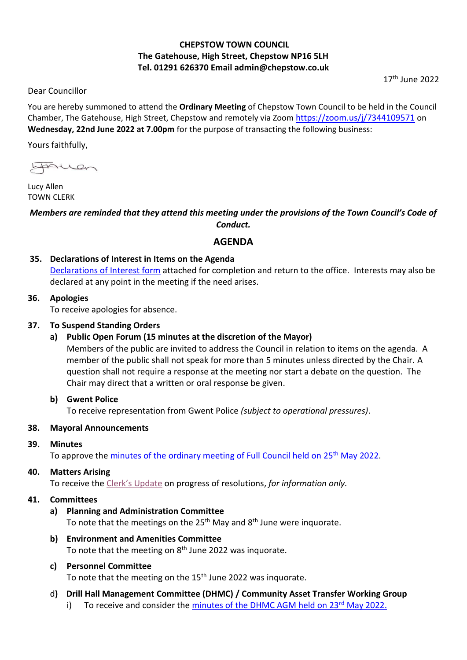# **CHEPSTOW TOWN COUNCIL The Gatehouse, High Street, Chepstow NP16 5LH Tel. 01291 626370 Email admin@chepstow.co.uk**

 $17<sup>th</sup>$  June 2022

Dear Councillor

You are hereby summoned to attend the **Ordinary Meeting** of Chepstow Town Council to be held in the Council Chamber, The Gatehouse, High Street, Chepstow and remotely via Zoom <https://zoom.us/j/7344109571> on **Wednesday, 22nd June 2022 at 7.00pm** for the purpose of transacting the following business:

Yours faithfully,

froman

Lucy Allen TOWN CLERK

# *Members are reminded that they attend this meeting under the provisions of the Town Council's Code of Conduct.*

# **AGENDA**

# **35. Declarations of Interest in Items on the Agenda**

[Declarations of Interest form](https://docs.google.com/document/d/1iUxiz9mDsJ7D2ThsCFBGDbXuX6Ckifyb/edit?usp=sharing&ouid=105404938322282414139&rtpof=true&sd=true) attached for completion and return to the office. Interests may also be declared at any point in the meeting if the need arises.

### **36. Apologies**

To receive apologies for absence.

# **37. To Suspend Standing Orders**

# **a) Public Open Forum (15 minutes at the discretion of the Mayor)**

Members of the public are invited to address the Council in relation to items on the agenda. A member of the public shall not speak for more than 5 minutes unless directed by the Chair. A question shall not require a response at the meeting nor start a debate on the question. The Chair may direct that a written or oral response be given.

# **b) Gwent Police**

To receive representation from Gwent Police *(subject to operational pressures)*.

# **38. Mayoral Announcements**

# **39. Minutes**

To approve the [minutes of the ordinary meeting of Full Council held on 25](http://www.chepstow.co.uk/_UserFiles/Files/_Minutes/145717-Minutes_OM_25th_May_2022.pdf)<sup>th</sup> May 2022.

# **40. Matters Arising**

To receive the [Clerk's Update](https://drive.google.com/file/d/187BHbQcb9FdOKLTqrt-pySY0aKxzKfwp/view?usp=sharing) on progress of resolutions, *for information only.*

# **41. Committees**

- **a) Planning and Administration Committee** To note that the meetings on the 25<sup>th</sup> May and 8<sup>th</sup> June were inquorate.
- **b) Environment and Amenities Committee** To note that the meeting on 8<sup>th</sup> June 2022 was inquorate.

# **c) Personnel Committee**

To note that the meeting on the 15<sup>th</sup> June 2022 was inquorate.

- d**) Drill Hall Management Committee (DHMC) / Community Asset Transfer Working Group**
	- i) To receive and consider the minutes of the DHMC AGM held on  $23<sup>rd</sup>$  May 2022.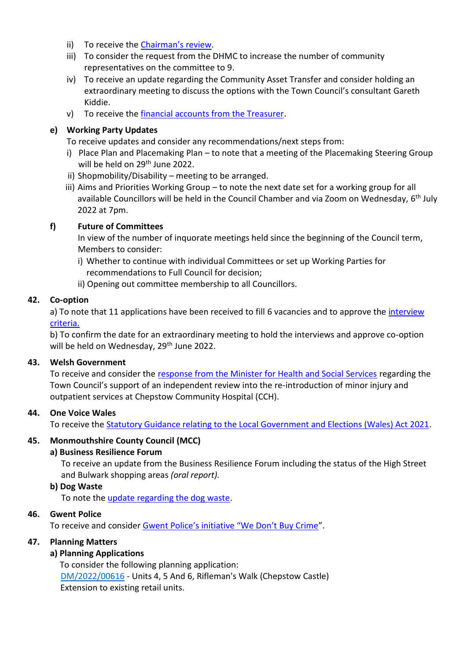- ii) To receive the [Chairman's review](https://drive.google.com/file/d/1WUX-B6dVViW-XSWzn4nJ_mWeU4KYjiIZ/view?usp=sharing).
- iii) To consider the request from the DHMC to increase the number of community representatives on the committee to 9.
- iv) To receive an update regarding the Community Asset Transfer and consider holding an extraordinary meeting to discuss the options with the Town Council's consultant Gareth Kiddie.
- v) To receive the [financial accounts from the Treasurer.](https://drive.google.com/file/d/1J5RlJCUpQkFUK2Z53SWeKP7WKAwP_cSn/view?usp=sharing)

# **e) Working Party Updates**

To receive updates and consider any recommendations/next steps from:

- i) Place Plan and Placemaking Plan to note that a meeting of the Placemaking Steering Group will be held on 29<sup>th</sup> June 2022.
- ii) Shopmobility/Disability meeting to be arranged.
- iii) Aims and Priorities Working Group to note the next date set for a working group for all available Councillors will be held in the Council Chamber and via Zoom on Wednesday, 6<sup>th</sup> July 2022 at 7pm.

# **f) Future of Committees**

In view of the number of inquorate meetings held since the beginning of the Council term, Members to consider:

- i) Whether to continue with individual Committees or set up Working Parties for recommendations to Full Council for decision;
- ii) Opening out committee membership to all Councillors.

### **42. Co-option**

a) To note that 11 applications have been received to fill 6 vacancies and to approve the [interview](https://drive.google.com/file/d/1kA2iGE4jX-RG4P-q5GHMp5rSmdyYQOMS/view?usp=sharing)  [criteria.](https://drive.google.com/file/d/1kA2iGE4jX-RG4P-q5GHMp5rSmdyYQOMS/view?usp=sharing)

b) To confirm the date for an extraordinary meeting to hold the interviews and approve co-option will be held on Wednesday, 29<sup>th</sup> June 2022.

# **43. Welsh Government**

To receive and consider the [response from the Minister for Health and Social Services](https://drive.google.com/file/d/19lPw723VyagICs_xcNcXps2zZca8Bygf/view?usp=sharing) regarding the Town Council's support of an independent review into the re-introduction of minor injury and outpatient services at Chepstow Community Hospital (CCH).

# **44. One Voice Wales**

To receive the [Statutory Guidance relating to the Local Government and Elections \(Wales\) Act 2021.](https://drive.google.com/file/d/1RlKo0z0a9vR2cMJ3BvRW0IFJKZtqvNos/view?usp=sharing)

# **45. Monmouthshire County Council (MCC)**

#### **a) Business Resilience Forum**

To receive an update from the Business Resilience Forum including the status of the High Street and Bulwark shopping areas *(oral report).*

#### **b) Dog Waste**

To note the [update regarding the dog waste.](https://drive.google.com/file/d/1RDXcgiUf7usy-l5Z8tf-MlKMCe1lUYG7/view?usp=sharing)

#### **46. Gwent Police**

To receive and consider [Gwent Police's initiative "We Don't Buy Crime"](https://drive.google.com/file/d/1uAtACwh4DjOM5IvSsde8-V0_NPg5sY-Q/view?usp=sharing).

#### **47. Planning Matters**

# **a) Planning Applications**

To consider the following planning application: [DM/2022/00616](https://planningonline.monmouthshire.gov.uk/online-applications/applicationDetails.do?keyVal=RAN6TIKY00300&activeTab=summary) - Units 4, 5 And 6, Rifleman's Walk (Chepstow Castle) Extension to existing retail units.